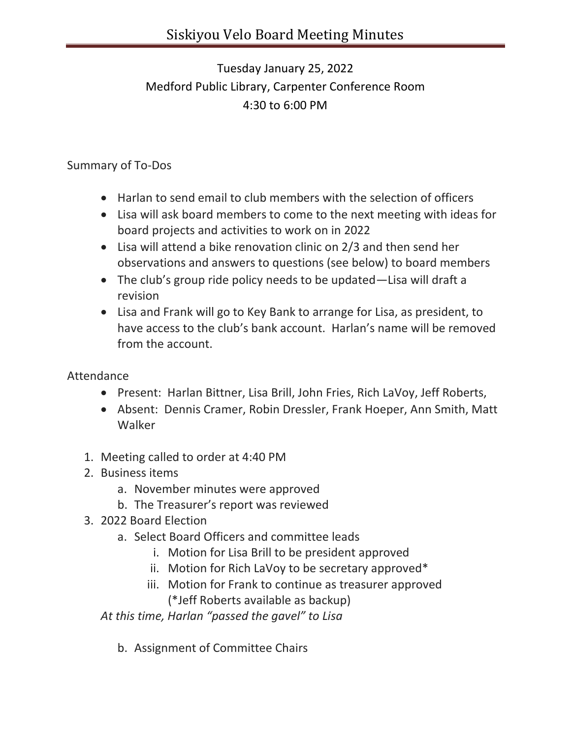## Tuesday January 25, 2022 Medford Public Library, Carpenter Conference Room 4:30 to 6:00 PM

## Summary of To-Dos

- Harlan to send email to club members with the selection of officers
- Lisa will ask board members to come to the next meeting with ideas for board projects and activities to work on in 2022
- Lisa will attend a bike renovation clinic on 2/3 and then send her observations and answers to questions (see below) to board members
- The club's group ride policy needs to be updated—Lisa will draft a revision
- Lisa and Frank will go to Key Bank to arrange for Lisa, as president, to have access to the club's bank account. Harlan's name will be removed from the account.

## Attendance

- Present: Harlan Bittner, Lisa Brill, John Fries, Rich LaVoy, Jeff Roberts,
- Absent: Dennis Cramer, Robin Dressler, Frank Hoeper, Ann Smith, Matt Walker
- 1. Meeting called to order at 4:40 PM
- 2. Business items
	- a. November minutes were approved
	- b. The Treasurer's report was reviewed
- 3. 2022 Board Election
	- a. Select Board Officers and committee leads
		- i. Motion for Lisa Brill to be president approved
		- ii. Motion for Rich LaVoy to be secretary approved\*
		- iii. Motion for Frank to continue as treasurer approved (\*Jeff Roberts available as backup)

*At this time, Harlan "passed the gavel" to Lisa*

b. Assignment of Committee Chairs